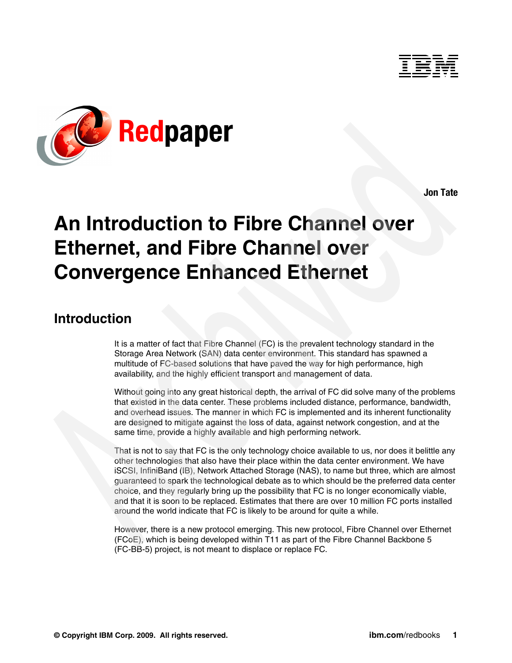



**Jon Tate**

# **An Introduction to Fibre Channel over Ethernet, and Fibre Channel over Convergence Enhanced Ethernet**

## **Introduction**

It is a matter of fact that Fibre Channel (FC) is the prevalent technology standard in the Storage Area Network (SAN) data center environment. This standard has spawned a multitude of FC-based solutions that have paved the way for high performance, high availability, and the highly efficient transport and management of data.

Without going into any great historical depth, the arrival of FC did solve many of the problems that existed in the data center. These problems included distance, performance, bandwidth, and overhead issues. The manner in which FC is implemented and its inherent functionality are designed to mitigate against the loss of data, against network congestion, and at the same time, provide a highly available and high performing network.

That is not to say that FC is the only technology choice available to us, nor does it belittle any other technologies that also have their place within the data center environment. We have iSCSI, InfiniBand (IB), Network Attached Storage (NAS), to name but three, which are almost guaranteed to spark the technological debate as to which should be the preferred data center choice, and they regularly bring up the possibility that FC is no longer economically viable, and that it is soon to be replaced. Estimates that there are over 10 million FC ports installed around the world indicate that FC is likely to be around for quite a while.

However, there is a new protocol emerging. This new protocol, Fibre Channel over Ethernet (FCoE), which is being developed within T11 as part of the Fibre Channel Backbone 5 (FC-BB-5) project, is not meant to displace or replace FC.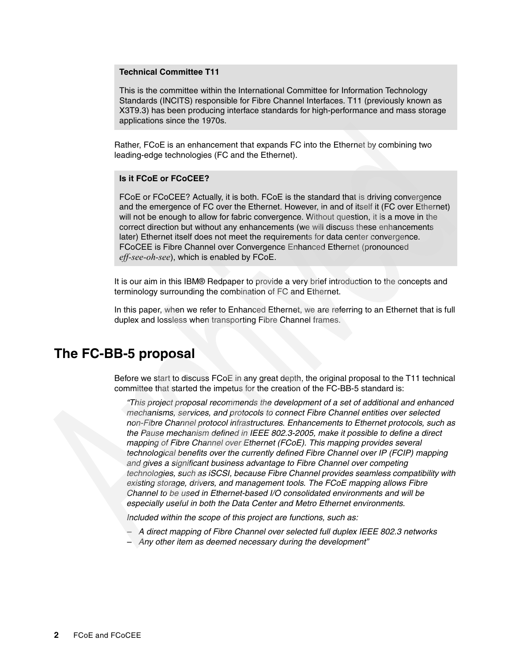#### **Technical Committee T11**

This is the committee within the International Committee for Information Technology Standards (INCITS) responsible for Fibre Channel Interfaces. T11 (previously known as X3T9.3) has been producing interface standards for high-performance and mass storage applications since the 1970s.

Rather, FCoE is an enhancement that expands FC into the Ethernet by combining two leading-edge technologies (FC and the Ethernet).

#### **Is it FCoE or FCoCEE?**

FCoE or FCoCEE? Actually, it is both. FCoE is the standard that is driving convergence and the emergence of FC over the Ethernet. However, in and of itself it (FC over Ethernet) will not be enough to allow for fabric convergence. Without question, it is a move in the correct direction but without any enhancements (we will discuss these enhancements later) Ethernet itself does not meet the requirements for data center convergence. FCoCEE is Fibre Channel over Convergence Enhanced Ethernet (pronounced *eff-see-oh-see*), which is enabled by FCoE.

It is our aim in this IBM® Redpaper to provide a very brief introduction to the concepts and terminology surrounding the combination of FC and Ethernet.

In this paper, when we refer to Enhanced Ethernet, we are referring to an Ethernet that is full duplex and lossless when transporting Fibre Channel frames.

### **The FC-BB-5 proposal**

Before we start to discuss FCoE in any great depth, the original proposal to the T11 technical committee that started the impetus for the creation of the FC-BB-5 standard is:

*"This project proposal recommends the development of a set of additional and enhanced mechanisms, services, and protocols to connect Fibre Channel entities over selected non-Fibre Channel protocol infrastructures. Enhancements to Ethernet protocols, such as the Pause mechanism defined in IEEE 802.3-2005, make it possible to define a direct mapping of Fibre Channel over Ethernet (FCoE). This mapping provides several technological benefits over the currently defined Fibre Channel over IP (FCIP) mapping and gives a significant business advantage to Fibre Channel over competing technologies, such as iSCSI, because Fibre Channel provides seamless compatibility with existing storage, drivers, and management tools. The FCoE mapping allows Fibre Channel to be used in Ethernet-based I/O consolidated environments and will be especially useful in both the Data Center and Metro Ethernet environments.* 

*Included within the scope of this project are functions, such as:* 

- *A direct mapping of Fibre Channel over selected full duplex IEEE 802.3 networks*
- *Any other item as deemed necessary during the development"*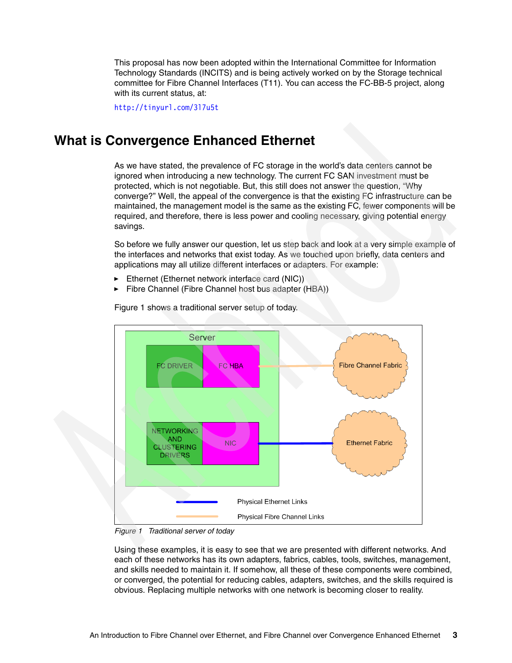This proposal has now been adopted within the International Committee for Information Technology Standards (INCITS) and is being actively worked on by the Storage technical committee for Fibre Channel Interfaces (T11). You can access the FC-BB-5 project, along with its current status, at:

<http://tinyurl.com/3l7u5t>

## **What is Convergence Enhanced Ethernet**

As we have stated, the prevalence of FC storage in the world's data centers cannot be ignored when introducing a new technology. The current FC SAN investment must be protected, which is not negotiable. But, this still does not answer the question, "Why converge?" Well, the appeal of the convergence is that the existing FC infrastructure can be maintained, the management model is the same as the existing FC, fewer components will be required, and therefore, there is less power and cooling necessary, giving potential energy savings.

So before we fully answer our question, let us step back and look at a very simple example of the interfaces and networks that exist today. As we touched upon briefly, data centers and applications may all utilize different interfaces or adapters. For example:

- ► Ethernet (Ethernet network interface card (NIC))
- -Fibre Channel (Fibre Channel host bus adapter (HBA))



[Figure 1](#page-2-0) shows a traditional server setup of today.

<span id="page-2-0"></span>*Figure 1 Traditional server of today*

Using these examples, it is easy to see that we are presented with different networks. And each of these networks has its own adapters, fabrics, cables, tools, switches, management, and skills needed to maintain it. If somehow, all these of these components were combined, or converged, the potential for reducing cables, adapters, switches, and the skills required is obvious. Replacing multiple networks with one network is becoming closer to reality.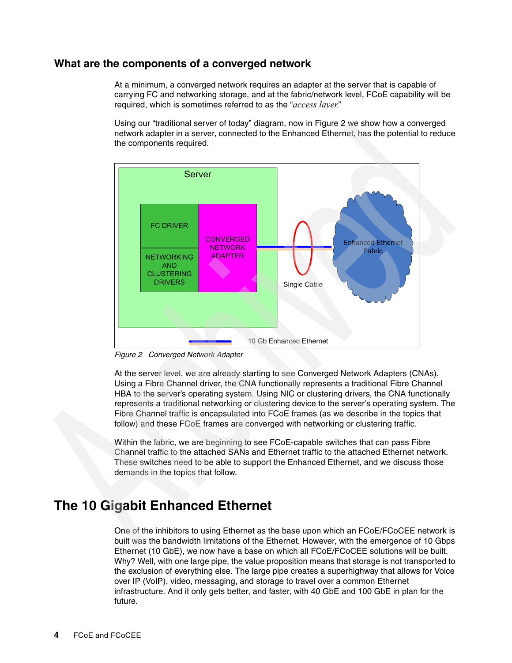### **What are the components of a converged network**

At a minimum, a converged network requires an adapter at the server that is capable of carrying FC and networking storage, and at the fabric/network level, FCoE capability will be required, which is sometimes referred to as the "*access layer.*"

Using our "traditional server of today" diagram, now in [Figure 2](#page-3-0) we show how a converged network adapter in a server, connected to the Enhanced Ethernet, has the potential to reduce the components required.



<span id="page-3-0"></span>*Figure 2 Converged Network Adapter*

At the server level, we are already starting to see Converged Network Adapters (CNAs). Using a Fibre Channel driver, the CNA functionally represents a traditional Fibre Channel HBA to the server's operating system. Using NIC or clustering drivers, the CNA functionally represents a traditional networking or clustering device to the server's operating system. The Fibre Channel traffic is encapsulated into FCoE frames (as we describe in the topics that follow) and these FCoE frames are converged with networking or clustering traffic.

Within the fabric, we are beginning to see FCoE-capable switches that can pass Fibre Channel traffic to the attached SANs and Ethernet traffic to the attached Ethernet network. These switches need to be able to support the Enhanced Ethernet, and we discuss those demands in the topics that follow.

## **The 10 Gigabit Enhanced Ethernet**

One of the inhibitors to using Ethernet as the base upon which an FCoE/FCoCEE network is built was the bandwidth limitations of the Ethernet. However, with the emergence of 10 Gbps Ethernet (10 GbE), we now have a base on which all FCoE/FCoCEE solutions will be built. Why? Well, with one large pipe, the value proposition means that storage is not transported to the exclusion of everything else. The large pipe creates a superhighway that allows for Voice over IP (VoIP), video, messaging, and storage to travel over a common Ethernet infrastructure. And it only gets better, and faster, with 40 GbE and 100 GbE in plan for the future.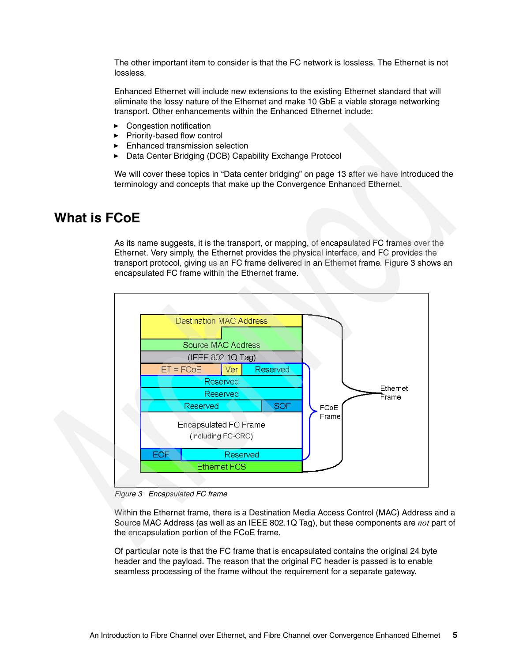The other important item to consider is that the FC network is lossless. The Ethernet is not lossless.

Enhanced Ethernet will include new extensions to the existing Ethernet standard that will eliminate the lossy nature of the Ethernet and make 10 GbE a viable storage networking transport. Other enhancements within the Enhanced Ethernet include:

- -Congestion notification
- Priority-based flow control
- **Enhanced transmission selection**
- ► Data Center Bridging (DCB) Capability Exchange Protocol

We will cover these topics in ["Data center bridging" on page 13](#page-12-0) after we have introduced the terminology and concepts that make up the Convergence Enhanced Ethernet.

## **What is FCoE**

As its name suggests, it is the transport, or mapping, of encapsulated FC frames over the Ethernet. Very simply, the Ethernet provides the physical interface, and FC provides the transport protocol, giving us an FC frame delivered in an Ethernet frame. [Figure 3](#page-4-0) shows an encapsulated FC frame within the Ethernet frame.



<span id="page-4-0"></span>*Figure 3 Encapsulated FC frame*

Within the Ethernet frame, there is a Destination Media Access Control (MAC) Address and a Source MAC Address (as well as an IEEE 802.1Q Tag), but these components are *not* part of the encapsulation portion of the FCoE frame.

Of particular note is that the FC frame that is encapsulated contains the original 24 byte header and the payload. The reason that the original FC header is passed is to enable seamless processing of the frame without the requirement for a separate gateway.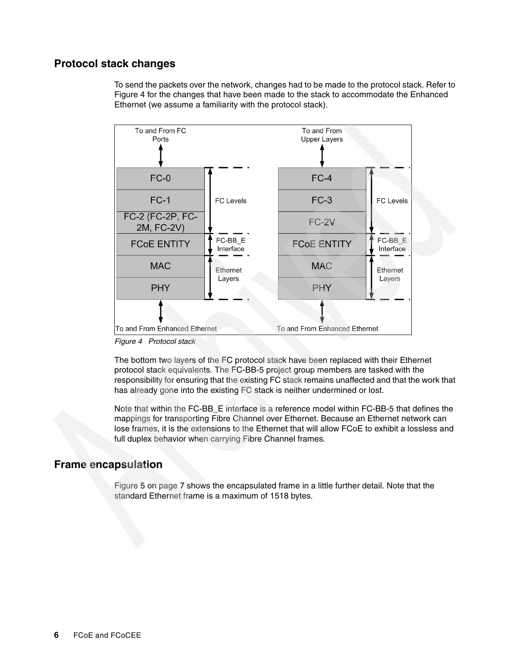### **Protocol stack changes**

To send the packets over the network, changes had to be made to the protocol stack. Refer to [Figure 4](#page-5-0) for the changes that have been made to the stack to accommodate the Enhanced Ethernet (we assume a familiarity with the protocol stack).



<span id="page-5-0"></span>*Figure 4 Protocol stack*

The bottom two layers of the FC protocol stack have been replaced with their Ethernet protocol stack equivalents. The FC-BB-5 project group members are tasked with the responsibility for ensuring that the existing FC stack remains unaffected and that the work that has already gone into the existing FC stack is neither undermined or lost.

Note that within the FC-BB\_E interface is a reference model within FC-BB-5 that defines the mappings for transporting Fibre Channel over Ethernet. Because an Ethernet network can lose frames, it is the extensions to the Ethernet that will allow FCoE to exhibit a lossless and full duplex behavior when carrying Fibre Channel frames.

### **Frame encapsulation**

[Figure 5 on page 7](#page-6-0) shows the encapsulated frame in a little further detail. Note that the standard Ethernet frame is a maximum of 1518 bytes.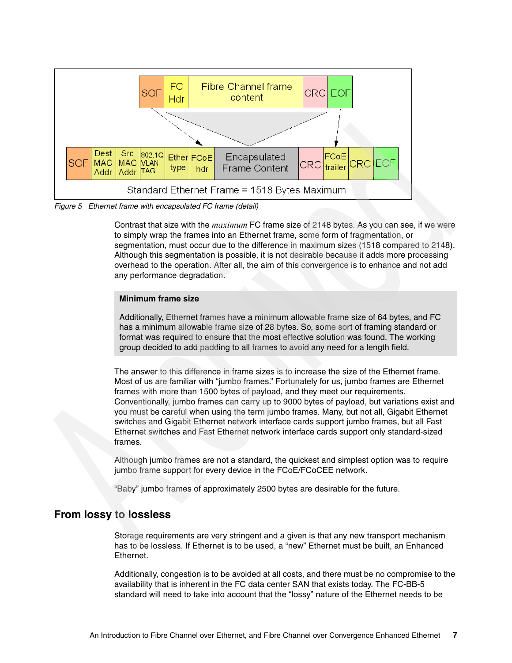

<span id="page-6-0"></span>*Figure 5 Ethernet frame with encapsulated FC frame (detail)*

Contrast that size with the *maximum* FC frame size of 2148 bytes. As you can see, if we were to simply wrap the frames into an Ethernet frame, some form of fragmentation, or segmentation, must occur due to the difference in maximum sizes (1518 compared to 2148). Although this segmentation is possible, it is not desirable because it adds more processing overhead to the operation. After all, the aim of this convergence is to enhance and not add any performance degradation.

#### **Minimum frame size**

Additionally, Ethernet frames have a minimum allowable frame size of 64 bytes, and FC has a minimum allowable frame size of 28 bytes. So, some sort of framing standard or format was required to ensure that the most effective solution was found. The working group decided to add padding to all frames to avoid any need for a length field.

The answer to this difference in frame sizes is to increase the size of the Ethernet frame. Most of us are familiar with "jumbo frames." Fortunately for us, jumbo frames are Ethernet frames with more than 1500 bytes of payload, and they meet our requirements. Conventionally, jumbo frames can carry up to 9000 bytes of payload, but variations exist and you must be careful when using the term jumbo frames. Many, but not all, Gigabit Ethernet switches and Gigabit Ethernet network interface cards support jumbo frames, but all Fast Ethernet switches and Fast Ethernet network interface cards support only standard-sized frames.

Although jumbo frames are not a standard, the quickest and simplest option was to require jumbo frame support for every device in the FCoE/FCoCEE network.

"Baby" jumbo frames of approximately 2500 bytes are desirable for the future.

### **From lossy to lossless**

Storage requirements are very stringent and a given is that any new transport mechanism has to be lossless. If Ethernet is to be used, a "new" Ethernet must be built, an Enhanced Ethernet.

Additionally, congestion is to be avoided at all costs, and there must be no compromise to the availability that is inherent in the FC data center SAN that exists today. The FC-BB-5 standard will need to take into account that the "lossy" nature of the Ethernet needs to be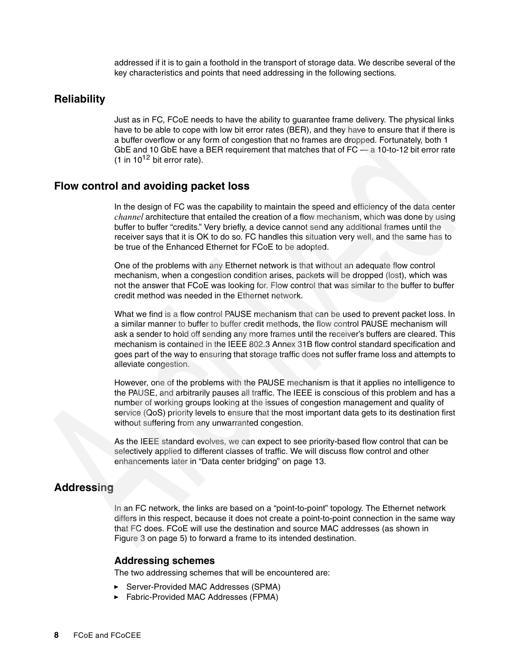addressed if it is to gain a foothold in the transport of storage data. We describe several of the key characteristics and points that need addressing in the following sections.

### **Reliability**

Just as in FC, FCoE needs to have the ability to guarantee frame delivery. The physical links have to be able to cope with low bit error rates (BER), and they have to ensure that if there is a buffer overflow or any form of congestion that no frames are dropped. Fortunately, both 1 GbE and 10 GbE have a BER requirement that matches that of FC — a 10-to-12 bit error rate (1 in  $10^{12}$  bit error rate).

### **Flow control and avoiding packet loss**

In the design of FC was the capability to maintain the speed and efficiency of the data center *channel* architecture that entailed the creation of a flow mechanism, which was done by using buffer to buffer "credits." Very briefly, a device cannot send any additional frames until the receiver says that it is OK to do so. FC handles this situation very well, and the same has to be true of the Enhanced Ethernet for FCoE to be adopted.

One of the problems with any Ethernet network is that without an adequate flow control mechanism, when a congestion condition arises, packets will be dropped (lost), which was not the answer that FCoE was looking for. Flow control that was similar to the buffer to buffer credit method was needed in the Ethernet network.

What we find is a flow control PAUSE mechanism that can be used to prevent packet loss. In a similar manner to buffer to buffer credit methods, the flow control PAUSE mechanism will ask a sender to hold off sending any more frames until the receiver's buffers are cleared. This mechanism is contained in the IEEE 802.3 Annex 31B flow control standard specification and goes part of the way to ensuring that storage traffic does not suffer frame loss and attempts to alleviate congestion.

However, one of the problems with the PAUSE mechanism is that it applies no intelligence to the PAUSE, and arbitrarily pauses all traffic. The IEEE is conscious of this problem and has a number of working groups looking at the issues of congestion management and quality of service (QoS) priority levels to ensure that the most important data gets to its destination first without suffering from any unwarranted congestion.

As the IEEE standard evolves, we can expect to see priority-based flow control that can be selectively applied to different classes of traffic. We will discuss flow control and other enhancements later in ["Data center bridging" on page 13](#page-12-0).

### **Addressing**

In an FC network, the links are based on a "point-to-point" topology. The Ethernet network differs in this respect, because it does not create a point-to-point connection in the same way that FC does. FCoE will use the destination and source MAC addresses (as shown in [Figure 3 on page 5\)](#page-4-0) to forward a frame to its intended destination.

#### **Addressing schemes**

The two addressing schemes that will be encountered are:

- ► Server-Provided MAC Addresses (SPMA)
- ► Fabric-Provided MAC Addresses (FPMA)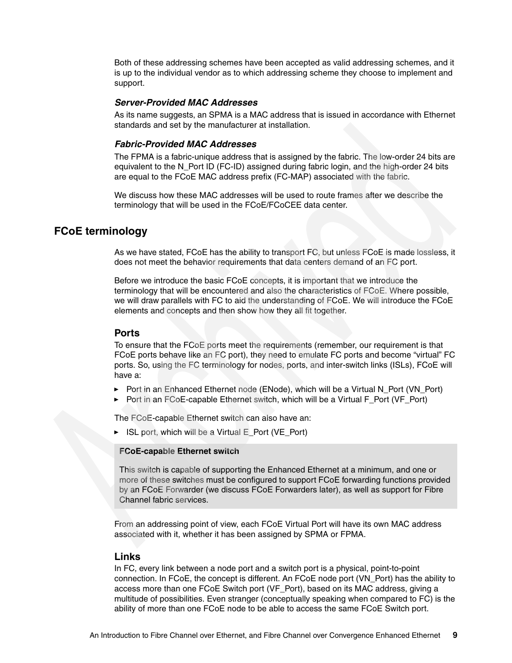Both of these addressing schemes have been accepted as valid addressing schemes, and it is up to the individual vendor as to which addressing scheme they choose to implement and support.

#### *Server-Provided MAC Addresses*

As its name suggests, an SPMA is a MAC address that is issued in accordance with Ethernet standards and set by the manufacturer at installation.

#### *Fabric-Provided MAC Addresses*

The FPMA is a fabric-unique address that is assigned by the fabric. The low-order 24 bits are equivalent to the N\_Port ID (FC-ID) assigned during fabric login, and the high-order 24 bits are equal to the FCoE MAC address prefix (FC-MAP) associated with the fabric.

We discuss how these MAC addresses will be used to route frames after we describe the terminology that will be used in the FCoE/FCoCEE data center.

### **FCoE terminology**

As we have stated, FCoE has the ability to transport FC, but unless FCoE is made lossless, it does not meet the behavior requirements that data centers demand of an FC port.

Before we introduce the basic FCoE concepts, it is important that we introduce the terminology that will be encountered and also the characteristics of FCoE. Where possible, we will draw parallels with FC to aid the understanding of FCoE. We will introduce the FCoE elements and concepts and then show how they all fit together.

#### **Ports**

To ensure that the FCoE ports meet the requirements (remember, our requirement is that FCoE ports behave like an FC port), they need to emulate FC ports and become "virtual" FC ports. So, using the FC terminology for nodes, ports, and inter-switch links (ISLs), FCoE will have a:

- ► Port in an Enhanced Ethernet node (ENode), which will be a Virtual N\_Port (VN\_Port)
- ► Port in an FCoE-capable Ethernet switch, which will be a Virtual F\_Port (VF\_Port)

The FCoE-capable Ethernet switch can also have an:

► ISL port, which will be a Virtual E\_Port (VE\_Port)

#### **FCoE-capable Ethernet switch**

This switch is capable of supporting the Enhanced Ethernet at a minimum, and one or more of these switches must be configured to support FCoE forwarding functions provided by an FCoE Forwarder (we discuss FCoE Forwarders later), as well as support for Fibre Channel fabric services.

From an addressing point of view, each FCoE Virtual Port will have its own MAC address associated with it, whether it has been assigned by SPMA or FPMA.

#### **Links**

In FC, every link between a node port and a switch port is a physical, point-to-point connection. In FCoE, the concept is different. An FCoE node port (VN\_Port) has the ability to access more than one FCoE Switch port (VF\_Port), based on its MAC address, giving a multitude of possibilities. Even stranger (conceptually speaking when compared to FC) is the ability of more than one FCoE node to be able to access the same FCoE Switch port.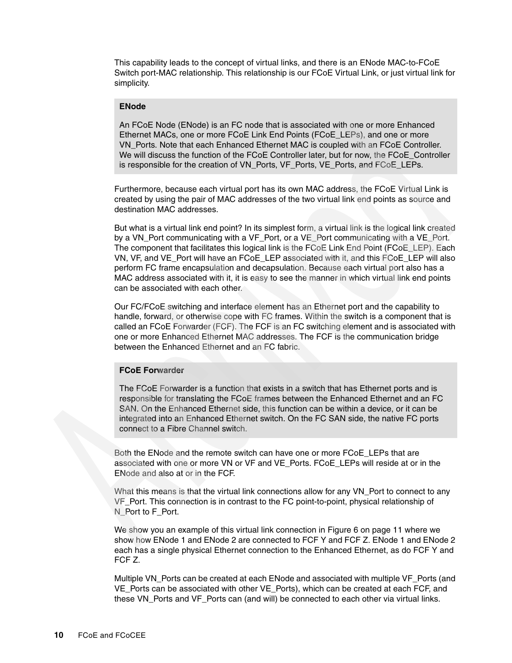This capability leads to the concept of virtual links, and there is an ENode MAC-to-FCoE Switch port-MAC relationship. This relationship is our FCoE Virtual Link, or just virtual link for simplicity.

#### **ENode**

An FCoE Node (ENode) is an FC node that is associated with one or more Enhanced Ethernet MACs, one or more FCoE Link End Points (FCoE\_LEPs), and one or more VN\_Ports. Note that each Enhanced Ethernet MAC is coupled with an FCoE Controller. We will discuss the function of the FCoE Controller later, but for now, the FCoE\_Controller is responsible for the creation of VN\_Ports, VF\_Ports, VE\_Ports, and FCoE\_LEPs.

Furthermore, because each virtual port has its own MAC address, the FCoE Virtual Link is created by using the pair of MAC addresses of the two virtual link end points as source and destination MAC addresses.

But what is a virtual link end point? In its simplest form, a virtual link is the logical link created by a VN\_Port communicating with a VF\_Port, or a VE\_Port communicating with a VE\_Port. The component that facilitates this logical link is the FCoE Link End Point (FCoE\_LEP). Each VN, VF, and VE\_Port will have an FCoE\_LEP associated with it, and this FCoE\_LEP will also perform FC frame encapsulation and decapsulation. Because each virtual port also has a MAC address associated with it, it is easy to see the manner in which virtual link end points can be associated with each other.

Our FC/FCoE switching and interface element has an Ethernet port and the capability to handle, forward, or otherwise cope with FC frames. Within the switch is a component that is called an FCoE Forwarder (FCF). The FCF is an FC switching element and is associated with one or more Enhanced Ethernet MAC addresses. The FCF is the communication bridge between the Enhanced Ethernet and an FC fabric.

#### **FCoE Forwarder**

The FCoE Forwarder is a function that exists in a switch that has Ethernet ports and is responsible for translating the FCoE frames between the Enhanced Ethernet and an FC SAN. On the Enhanced Ethernet side, this function can be within a device, or it can be integrated into an Enhanced Ethernet switch. On the FC SAN side, the native FC ports connect to a Fibre Channel switch.

Both the ENode and the remote switch can have one or more FCoE\_LEPs that are associated with one or more VN or VF and VE\_Ports. FCoE\_LEPs will reside at or in the ENode and also at or in the FCF.

What this means is that the virtual link connections allow for any VN\_Port to connect to any VF\_Port. This connection is in contrast to the FC point-to-point, physical relationship of N\_Port to F\_Port.

We show you an example of this virtual link connection in [Figure 6 on page 11](#page-10-0) where we show how ENode 1 and ENode 2 are connected to FCF Y and FCF Z. ENode 1 and ENode 2 each has a single physical Ethernet connection to the Enhanced Ethernet, as do FCF Y and FCF Z.

Multiple VN Ports can be created at each ENode and associated with multiple VF Ports (and VE\_Ports can be associated with other VE\_Ports), which can be created at each FCF, and these VN\_Ports and VF\_Ports can (and will) be connected to each other via virtual links.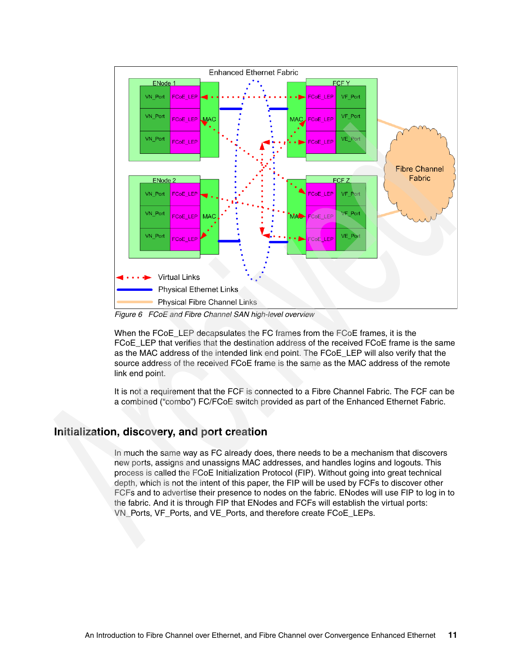

<span id="page-10-0"></span>*Figure 6 FCoE and Fibre Channel SAN high-level overview*

When the FCoE LEP decapsulates the FC frames from the FCoE frames, it is the FCoE\_LEP that verifies that the destination address of the received FCoE frame is the same as the MAC address of the intended link end point. The FCoE\_LEP will also verify that the source address of the received FCoE frame is the same as the MAC address of the remote link end point.

It is not a requirement that the FCF is connected to a Fibre Channel Fabric. The FCF can be a combined ("combo") FC/FCoE switch provided as part of the Enhanced Ethernet Fabric.

### **Initialization, discovery, and port creation**

In much the same way as FC already does, there needs to be a mechanism that discovers new ports, assigns and unassigns MAC addresses, and handles logins and logouts. This process is called the FCoE Initialization Protocol (FIP). Without going into great technical depth, which is not the intent of this paper, the FIP will be used by FCFs to discover other FCFs and to advertise their presence to nodes on the fabric. ENodes will use FIP to log in to the fabric. And it is through FIP that ENodes and FCFs will establish the virtual ports: VN\_Ports, VF\_Ports, and VE\_Ports, and therefore create FCoE\_LEPs.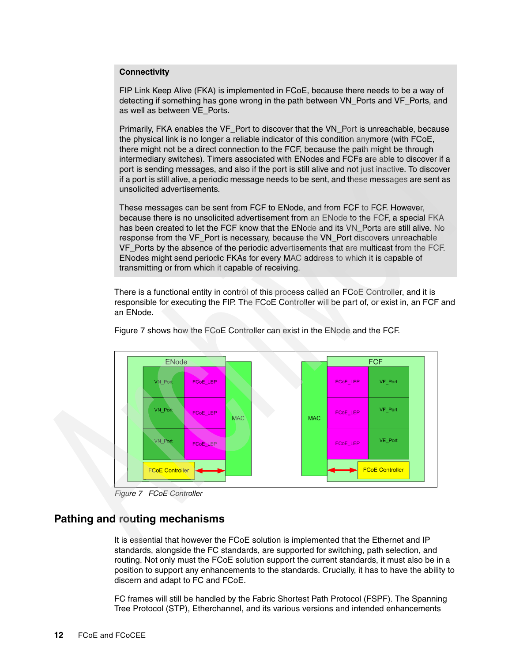#### **Connectivity**

FIP Link Keep Alive (FKA) is implemented in FCoE, because there needs to be a way of detecting if something has gone wrong in the path between VN\_Ports and VF\_Ports, and as well as between VE\_Ports.

Primarily, FKA enables the VF\_Port to discover that the VN\_Port is unreachable, because the physical link is no longer a reliable indicator of this condition anymore (with FCoE, there might not be a direct connection to the FCF, because the path might be through intermediary switches). Timers associated with ENodes and FCFs are able to discover if a port is sending messages, and also if the port is still alive and not just inactive. To discover if a port is still alive, a periodic message needs to be sent, and these messages are sent as unsolicited advertisements.

These messages can be sent from FCF to ENode, and from FCF to FCF. However, because there is no unsolicited advertisement from an ENode to the FCF, a special FKA has been created to let the FCF know that the ENode and its VN\_Ports are still alive. No response from the VF\_Port is necessary, because the VN\_Port discovers unreachable VF\_Ports by the absence of the periodic advertisements that are multicast from the FCF. ENodes might send periodic FKAs for every MAC address to which it is capable of transmitting or from which it capable of receiving.

There is a functional entity in control of this process called an FCoE Controller, and it is responsible for executing the FIP. The FCoE Controller will be part of, or exist in, an FCF and an ENode.



[Figure 7](#page-11-0) shows how the FCoE Controller can exist in the ENode and the FCF.

<span id="page-11-0"></span>*Figure 7 FCoE Controller*

### **Pathing and routing mechanisms**

It is essential that however the FCoE solution is implemented that the Ethernet and IP standards, alongside the FC standards, are supported for switching, path selection, and routing. Not only must the FCoE solution support the current standards, it must also be in a position to support any enhancements to the standards. Crucially, it has to have the ability to discern and adapt to FC and FCoE.

FC frames will still be handled by the Fabric Shortest Path Protocol (FSPF). The Spanning Tree Protocol (STP), Etherchannel, and its various versions and intended enhancements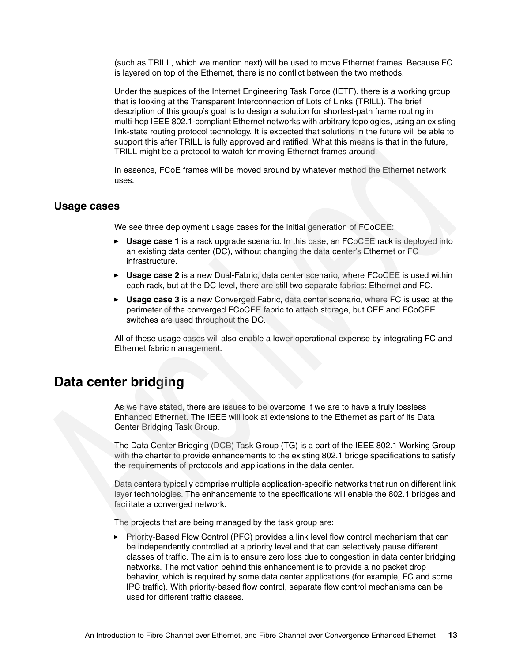(such as TRILL, which we mention next) will be used to move Ethernet frames. Because FC is layered on top of the Ethernet, there is no conflict between the two methods.

Under the auspices of the Internet Engineering Task Force (IETF), there is a working group that is looking at the Transparent Interconnection of Lots of Links (TRILL). The brief description of this group's goal is to design a solution for shortest-path frame routing in multi-hop IEEE 802.1-compliant Ethernet networks with arbitrary topologies, using an existing link-state routing protocol technology. It is expected that solutions in the future will be able to support this after TRILL is fully approved and ratified. What this means is that in the future, TRILL might be a protocol to watch for moving Ethernet frames around.

In essence, FCoE frames will be moved around by whatever method the Ethernet network uses.

#### **Usage cases**

We see three deployment usage cases for the initial generation of FCoCEE:

- ► Usage case 1 is a rack upgrade scenario. In this case, an FCoCEE rack is deployed into an existing data center (DC), without changing the data center's Ethernet or FC infrastructure.
- ► Usage case 2 is a new Dual-Fabric, data center scenario, where FCoCEE is used within each rack, but at the DC level, there are still two separate fabrics: Ethernet and FC.
- **Usage case 3** is a new Converged Fabric, data center scenario, where FC is used at the perimeter of the converged FCoCEE fabric to attach storage, but CEE and FCoCEE switches are used throughout the DC.

All of these usage cases will also enable a lower operational expense by integrating FC and Ethernet fabric management.

## <span id="page-12-0"></span>**Data center bridging**

As we have stated, there are issues to be overcome if we are to have a truly lossless Enhanced Ethernet. The IEEE will look at extensions to the Ethernet as part of its Data Center Bridging Task Group.

The Data Center Bridging (DCB) Task Group (TG) is a part of the IEEE 802.1 Working Group with the charter to provide enhancements to the existing 802.1 bridge specifications to satisfy the requirements of protocols and applications in the data center.

Data centers typically comprise multiple application-specific networks that run on different link layer technologies. The enhancements to the specifications will enable the 802.1 bridges and facilitate a converged network.

The projects that are being managed by the task group are:

► Priority-Based Flow Control (PFC) provides a link level flow control mechanism that can be independently controlled at a priority level and that can selectively pause different classes of traffic. The aim is to ensure zero loss due to congestion in data center bridging networks. The motivation behind this enhancement is to provide a no packet drop behavior, which is required by some data center applications (for example, FC and some IPC traffic). With priority-based flow control, separate flow control mechanisms can be used for different traffic classes.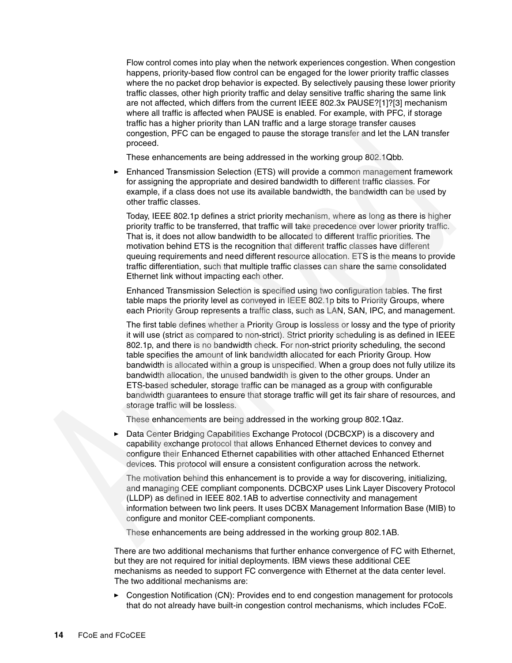Flow control comes into play when the network experiences congestion. When congestion happens, priority-based flow control can be engaged for the lower priority traffic classes where the no packet drop behavior is expected. By selectively pausing these lower priority traffic classes, other high priority traffic and delay sensitive traffic sharing the same link are not affected, which differs from the current IEEE 802.3x PAUSE?[1]?[3] mechanism where all traffic is affected when PAUSE is enabled. For example, with PFC, if storage traffic has a higher priority than LAN traffic and a large storage transfer causes congestion, PFC can be engaged to pause the storage transfer and let the LAN transfer proceed.

These enhancements are being addressed in the working group 802.1Qbb.

 $\blacktriangleright$  Enhanced Transmission Selection (ETS) will provide a common management framework for assigning the appropriate and desired bandwidth to different traffic classes. For example, if a class does not use its available bandwidth, the bandwidth can be used by other traffic classes.

Today, IEEE 802.1p defines a strict priority mechanism, where as long as there is higher priority traffic to be transferred, that traffic will take precedence over lower priority traffic. That is, it does not allow bandwidth to be allocated to different traffic priorities. The motivation behind ETS is the recognition that different traffic classes have different queuing requirements and need different resource allocation. ETS is the means to provide traffic differentiation, such that multiple traffic classes can share the same consolidated Ethernet link without impacting each other.

Enhanced Transmission Selection is specified using two configuration tables. The first table maps the priority level as conveyed in IEEE 802.1p bits to Priority Groups, where each Priority Group represents a traffic class, such as LAN, SAN, IPC, and management.

The first table defines whether a Priority Group is lossless or lossy and the type of priority it will use (strict as compared to non-strict). Strict priority scheduling is as defined in IEEE 802.1p, and there is no bandwidth check. For non-strict priority scheduling, the second table specifies the amount of link bandwidth allocated for each Priority Group. How bandwidth is allocated within a group is unspecified. When a group does not fully utilize its bandwidth allocation, the unused bandwidth is given to the other groups. Under an ETS-based scheduler, storage traffic can be managed as a group with configurable bandwidth guarantees to ensure that storage traffic will get its fair share of resources, and storage traffic will be lossless.

These enhancements are being addressed in the working group 802.1Qaz.

- Data Center Bridging Capabilities Exchange Protocol (DCBCXP) is a discovery and capability exchange protocol that allows Enhanced Ethernet devices to convey and configure their Enhanced Ethernet capabilities with other attached Enhanced Ethernet devices. This protocol will ensure a consistent configuration across the network.

The motivation behind this enhancement is to provide a way for discovering, initializing, and managing CEE compliant components. DCBCXP uses Link Layer Discovery Protocol (LLDP) as defined in IEEE 802.1AB to advertise connectivity and management information between two link peers. It uses DCBX Management Information Base (MIB) to configure and monitor CEE-compliant components.

These enhancements are being addressed in the working group 802.1AB.

There are two additional mechanisms that further enhance convergence of FC with Ethernet, but they are not required for initial deployments. IBM views these additional CEE mechanisms as needed to support FC convergence with Ethernet at the data center level. The two additional mechanisms are:

► Congestion Notification (CN): Provides end to end congestion management for protocols that do not already have built-in congestion control mechanisms, which includes FCoE.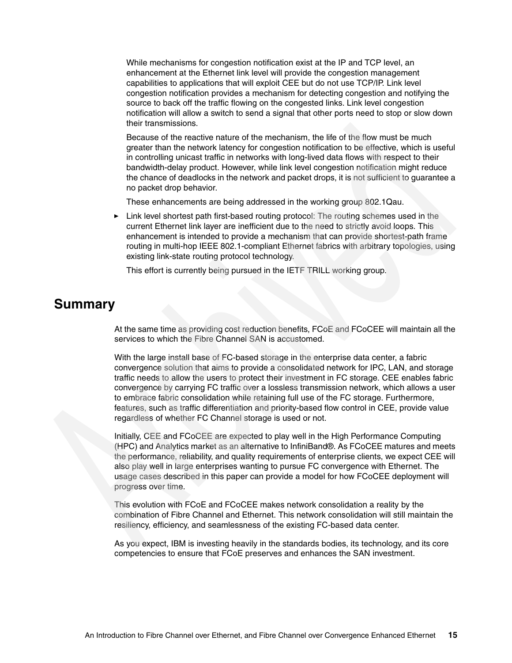While mechanisms for congestion notification exist at the IP and TCP level, an enhancement at the Ethernet link level will provide the congestion management capabilities to applications that will exploit CEE but do not use TCP/IP. Link level congestion notification provides a mechanism for detecting congestion and notifying the source to back off the traffic flowing on the congested links. Link level congestion notification will allow a switch to send a signal that other ports need to stop or slow down their transmissions.

Because of the reactive nature of the mechanism, the life of the flow must be much greater than the network latency for congestion notification to be effective, which is useful in controlling unicast traffic in networks with long-lived data flows with respect to their bandwidth-delay product. However, while link level congestion notification might reduce the chance of deadlocks in the network and packet drops, it is not sufficient to guarantee a no packet drop behavior.

These enhancements are being addressed in the working group 802.1Qau.

- Link level shortest path first-based routing protocol: The routing schemes used in the current Ethernet link layer are inefficient due to the need to strictly avoid loops. This enhancement is intended to provide a mechanism that can provide shortest-path frame routing in multi-hop IEEE 802.1-compliant Ethernet fabrics with arbitrary topologies, using existing link-state routing protocol technology.

This effort is currently being pursued in the IETF TRILL working group.

## **Summary**

At the same time as providing cost reduction benefits, FCoE and FCoCEE will maintain all the services to which the Fibre Channel SAN is accustomed.

With the large install base of FC-based storage in the enterprise data center, a fabric convergence solution that aims to provide a consolidated network for IPC, LAN, and storage traffic needs to allow the users to protect their investment in FC storage. CEE enables fabric convergence by carrying FC traffic over a lossless transmission network, which allows a user to embrace fabric consolidation while retaining full use of the FC storage. Furthermore, features, such as traffic differentiation and priority-based flow control in CEE, provide value regardless of whether FC Channel storage is used or not.

Initially, CEE and FCoCEE are expected to play well in the High Performance Computing (HPC) and Analytics market as an alternative to InfiniBand®. As FCoCEE matures and meets the performance, reliability, and quality requirements of enterprise clients, we expect CEE will also play well in large enterprises wanting to pursue FC convergence with Ethernet. The usage cases described in this paper can provide a model for how FCoCEE deployment will progress over time.

This evolution with FCoE and FCoCEE makes network consolidation a reality by the combination of Fibre Channel and Ethernet. This network consolidation will still maintain the resiliency, efficiency, and seamlessness of the existing FC-based data center.

As you expect, IBM is investing heavily in the standards bodies, its technology, and its core competencies to ensure that FCoE preserves and enhances the SAN investment.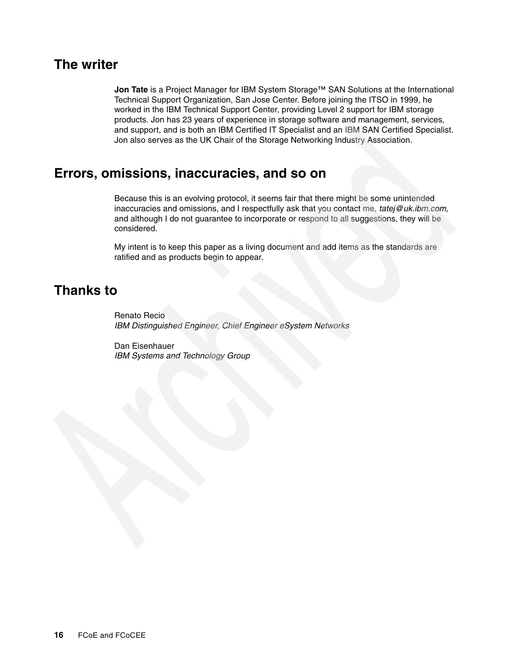## **The writer**

**Jon Tate** is a Project Manager for IBM System Storage™ SAN Solutions at the International Technical Support Organization, San Jose Center. Before joining the ITSO in 1999, he worked in the IBM Technical Support Center, providing Level 2 support for IBM storage products. Jon has 23 years of experience in storage software and management, services, and support, and is both an IBM Certified IT Specialist and an IBM SAN Certified Specialist. Jon also serves as the UK Chair of the Storage Networking Industry Association.

## **Errors, omissions, inaccuracies, and so on**

Because this is an evolving protocol, it seems fair that there might be some unintended inaccuracies and omissions, and I respectfully ask that you contact me, *tatej@uk.ibm.com*, and although I do not guarantee to incorporate or respond to all suggestions, they will be considered.

My intent is to keep this paper as a living document and add items as the standards are ratified and as products begin to appear.

## **Thanks to**

Renato Recio *IBM Distinguished Engineer, Chief Engineer eSystem Networks*

Dan Eisenhauer *IBM Systems and Technology Group*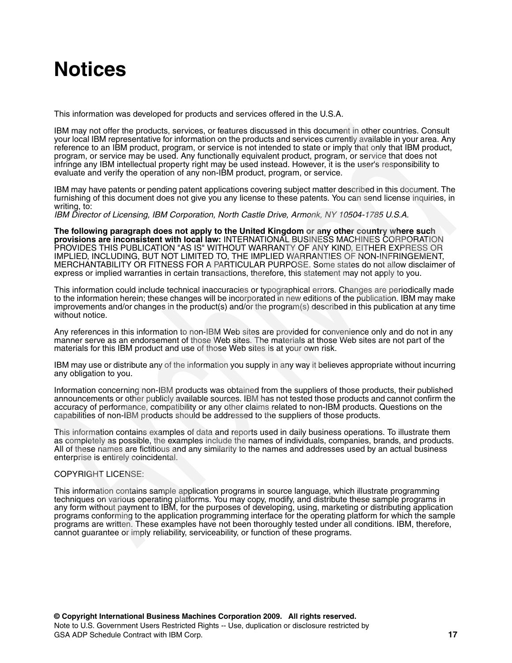# **Notices**

This information was developed for products and services offered in the U.S.A.

IBM may not offer the products, services, or features discussed in this document in other countries. Consult your local IBM representative for information on the products and services currently available in your area. Any reference to an IBM product, program, or service is not intended to state or imply that only that IBM product, program, or service may be used. Any functionally equivalent product, program, or service that does not infringe any IBM intellectual property right may be used instead. However, it is the user's responsibility to evaluate and verify the operation of any non-IBM product, program, or service.

IBM may have patents or pending patent applications covering subject matter described in this document. The furnishing of this document does not give you any license to these patents. You can send license inquiries, in writing, to:

*IBM Director of Licensing, IBM Corporation, North Castle Drive, Armonk, NY 10504-1785 U.S.A.*

**The following paragraph does not apply to the United Kingdom or any other country where such provisions are inconsistent with local law:** INTERNATIONAL BUSINESS MACHINES CORPORATION PROVIDES THIS PUBLICATION "AS IS" WITHOUT WARRANTY OF ANY KIND, EITHER EXPRESS OR IMPLIED, INCLUDING, BUT NOT LIMITED TO, THE IMPLIED WARRANTIES OF NON-INFRINGEMENT, MERCHANTABILITY OR FITNESS FOR A PARTICULAR PURPOSE. Some states do not allow disclaimer of express or implied warranties in certain transactions, therefore, this statement may not apply to you.

This information could include technical inaccuracies or typographical errors. Changes are periodically made to the information herein; these changes will be incorporated in new editions of the publication. IBM may make improvements and/or changes in the product(s) and/or the program(s) described in this publication at any time without notice.

Any references in this information to non-IBM Web sites are provided for convenience only and do not in any manner serve as an endorsement of those Web sites. The materials at those Web sites are not part of the materials for this IBM product and use of those Web sites is at your own risk.

IBM may use or distribute any of the information you supply in any way it believes appropriate without incurring any obligation to you.

Information concerning non-IBM products was obtained from the suppliers of those products, their published announcements or other publicly available sources. IBM has not tested those products and cannot confirm the accuracy of performance, compatibility or any other claims related to non-IBM products. Questions on the capabilities of non-IBM products should be addressed to the suppliers of those products.

This information contains examples of data and reports used in daily business operations. To illustrate them as completely as possible, the examples include the names of individuals, companies, brands, and products. All of these names are fictitious and any similarity to the names and addresses used by an actual business enterprise is entirely coincidental.

#### COPYRIGHT LICENSE:

This information contains sample application programs in source language, which illustrate programming techniques on various operating platforms. You may copy, modify, and distribute these sample programs in any form without payment to IBM, for the purposes of developing, using, marketing or distributing application programs conforming to the application programming interface for the operating platform for which the sample programs are written. These examples have not been thoroughly tested under all conditions. IBM, therefore, cannot guarantee or imply reliability, serviceability, or function of these programs.